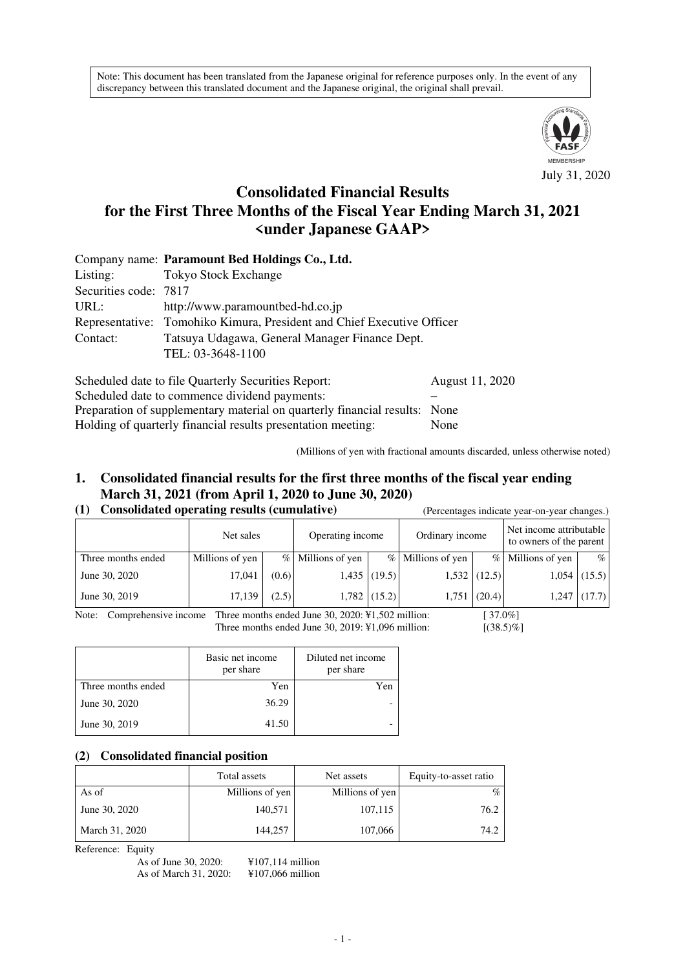Note: This document has been translated from the Japanese original for reference purposes only. In the event of any discrepancy between this translated document and the Japanese original, the original shall prevail.



# **Consolidated Financial Results for the First Three Months of the Fiscal Year Ending March 31, 2021 <under Japanese GAAP>**

|                       | Company name: Paramount Bed Holdings Co., Ltd.                         |
|-----------------------|------------------------------------------------------------------------|
| Listing:              | <b>Tokyo Stock Exchange</b>                                            |
| Securities code: 7817 |                                                                        |
| URL:                  | http://www.paramountbed-hd.co.jp                                       |
|                       | Representative: Tomohiko Kimura, President and Chief Executive Officer |
| Contact:              | Tatsuya Udagawa, General Manager Finance Dept.                         |
|                       | TEL: 03-3648-1100                                                      |
|                       |                                                                        |

Scheduled date to file Quarterly Securities Report: August 11, 2020 Scheduled date to commence dividend payments: Preparation of supplementary material on quarterly financial results: None Holding of quarterly financial results presentation meeting: None

(Millions of yen with fractional amounts discarded, unless otherwise noted)

## **1. Consolidated financial results for the first three months of the fiscal year ending March 31, 2021 (from April 1, 2020 to June 30, 2020)**

## **(1) Consolidated operating results (cumulative)** (Percentages indicate year-on-year changes.)

|                    | Net sales       |       | Operating income  |                | Ordinary income   |                | Net income attributable<br>to owners of the parent |                |
|--------------------|-----------------|-------|-------------------|----------------|-------------------|----------------|----------------------------------------------------|----------------|
| Three months ended | Millions of yen |       | % Millions of yen |                | % Millions of yen |                | % Millions of yen                                  | $\%$           |
| June 30, 2020      | 17,041          | (0.6) |                   | $1,435$ (19.5) |                   | $1,532$ (12.5) |                                                    | $1,054$ (15.5) |
| June 30, 2019      | 17,139          | (2.5) |                   | $1,782$ (15.2) | 1,751             | (20.4)         | 1,247                                              | (17.7)         |

Note: Comprehensive income Three months ended June 30, 2020: ¥1,502 million: [ 37.0%] Three months ended June 30, 2019: ¥1,096 million: [(38.5)%]

|                    | Basic net income<br>per share | Diluted net income<br>per share |  |
|--------------------|-------------------------------|---------------------------------|--|
| Three months ended | Yen                           | Yen                             |  |
| June 30, 2020      | 36.29                         |                                 |  |
| June 30, 2019      | 41.50                         |                                 |  |

### **(2) Consolidated financial position**

|                | Total assets    | Net assets      | Equity-to-asset ratio |
|----------------|-----------------|-----------------|-----------------------|
| As of          | Millions of yen | Millions of yen | $\%$                  |
| June 30, 2020  | 140,571         | 107,115         | 76.2                  |
| March 31, 2020 | 144,257         | 107,066         | 74.2                  |

Reference: Equity

| As of June 30, 2020:  | $\text{\textsterling}107, 114$ million |
|-----------------------|----------------------------------------|
| As of March 31, 2020: | $¥107,066$ million                     |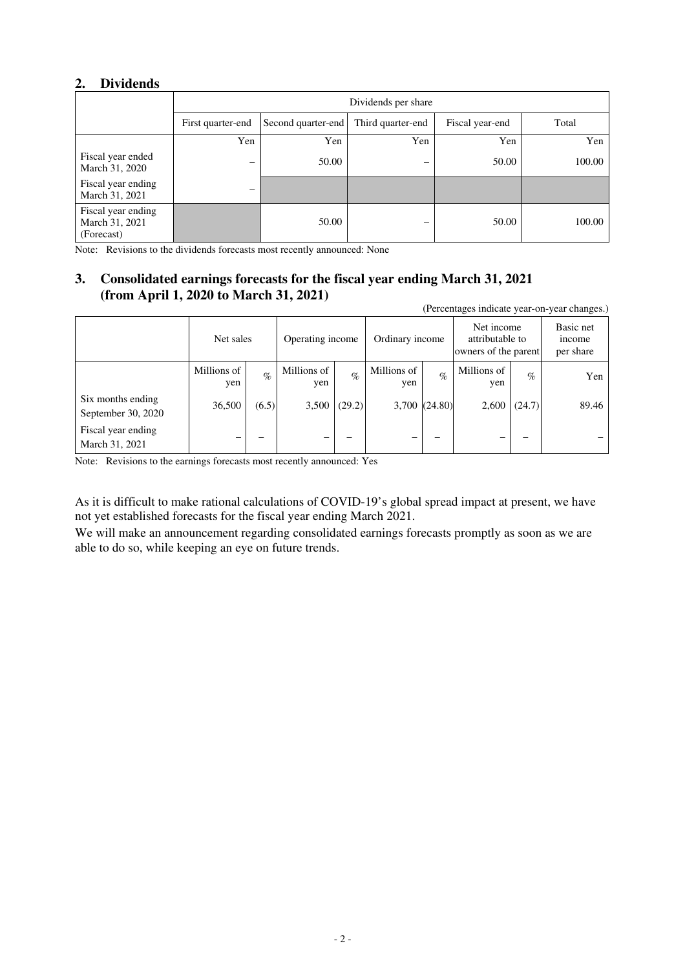## **2. Dividends**

|                                                    | Dividends per share      |                    |                   |                 |        |  |
|----------------------------------------------------|--------------------------|--------------------|-------------------|-----------------|--------|--|
|                                                    | First quarter-end        | Second quarter-end | Third quarter-end | Fiscal year-end | Total  |  |
|                                                    | Yen                      | Yen                | Yen               | Yen             | Yen    |  |
| Fiscal year ended<br>March 31, 2020                | $\overline{\phantom{m}}$ | 50.00              | -                 | 50.00           | 100.00 |  |
| Fiscal year ending<br>March 31, 2021               |                          |                    |                   |                 |        |  |
| Fiscal year ending<br>March 31, 2021<br>(Forecast) |                          | 50.00              |                   | 50.00           | 100.00 |  |

Note: Revisions to the dividends forecasts most recently announced: None

## **3. Consolidated earnings forecasts for the fiscal year ending March 31, 2021 (from April 1, 2020 to March 31, 2021)**

(Percentages indicate year-on-year changes.)

|                                         | Net sales          |                 | Operating income   |                 | Ordinary income    |               | Net income<br>attributable to<br>owners of the parent |        | Basic net<br><i>n</i> come<br>per share |
|-----------------------------------------|--------------------|-----------------|--------------------|-----------------|--------------------|---------------|-------------------------------------------------------|--------|-----------------------------------------|
|                                         | Millions of<br>yen | $\mathcal{O}_0$ | Millions of<br>yen | $\mathcal{O}_0$ | Millions of<br>yen | $\%$          | Millions of<br>yen                                    | $\%$   | Yen                                     |
| Six months ending<br>September 30, 2020 | 36,500             | (6.5)           | 3,500              | (29.2)          |                    | 3,700 (24.80) | 2,600                                                 | (24.7) | 89.46                                   |
| Fiscal year ending<br>March 31, 2021    |                    |                 |                    |                 |                    |               |                                                       |        |                                         |

Note: Revisions to the earnings forecasts most recently announced: Yes

As it is difficult to make rational calculations of COVID-19's global spread impact at present, we have not yet established forecasts for the fiscal year ending March 2021.

We will make an announcement regarding consolidated earnings forecasts promptly as soon as we are able to do so, while keeping an eye on future trends.